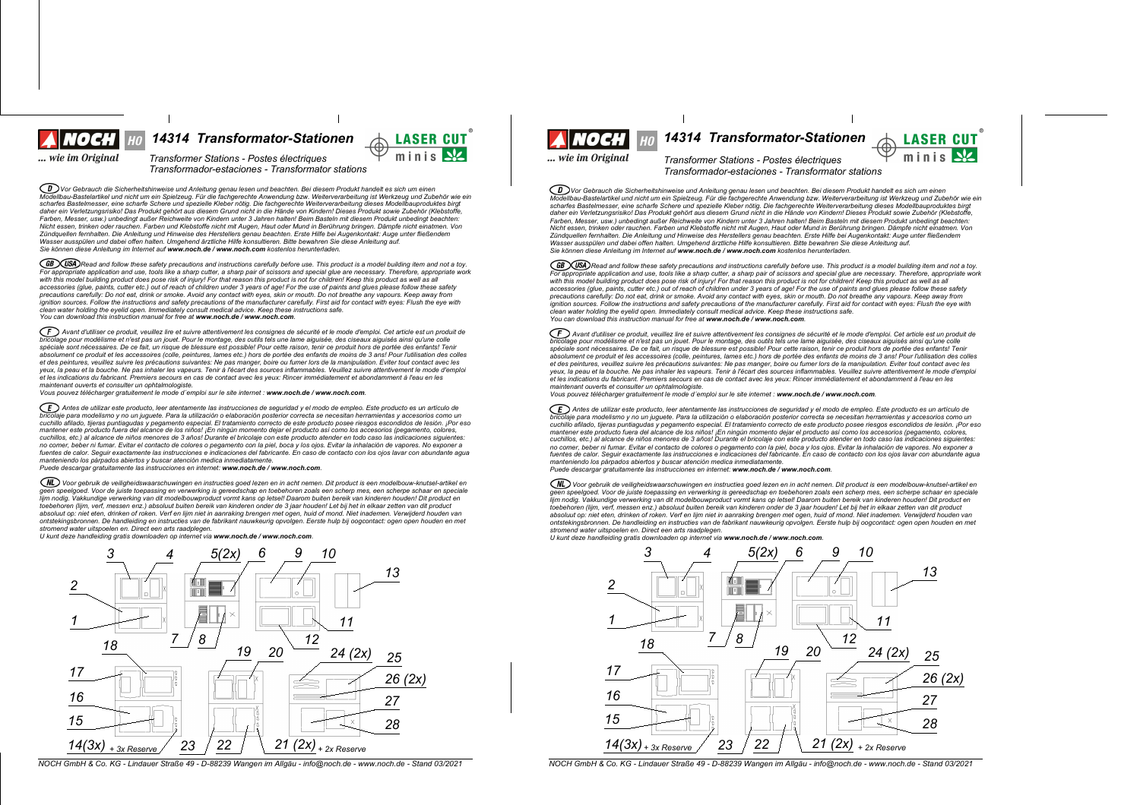

*14314 Transformator-Stationen 14314 Transformator-Stationen*

... wie im Original

*Transformer Stations - Postes plectriques Transformador-estaciones - Transformator stations*

◯ᢧᢧѴѹ Gebrauch die Sicherheitshinweise und Anleitung genau lesen und beachten. Bei diesem Produkt handelt es sich um einen<br>Modellbau-Bastelartikel und nicht um ein Spielzeug. Für die fachgerechte Anwendung bzw. Weitervera scharfes Bastelmesser, eine scharfe Schere und spezielle Kleber nötig. Die fachgerechte Weiterverarbeitung dieses Modellbauproduktes birgt daher ein Verletzungsrisiko! Das Produkt gehört aus diesem Grund nicht in die Hände von Kindern! Dieses Produkt sowie Zubehör (Klebstoffe Farben, Messer, usw.) unbedingt außer Reichweite von Kindern unter 3 Jahren halten! Beim Basteln mit diesem Produkt unbedingt beachten: r wie ersen, troch der rauchen. Farben und Klebstoffe nicht mit Augen, Haut oder Mund in Berührung bringen. Dämpfe nicht einatmen. Von Zündquellen fernhalten. Die Anleitung und Hinweise des Herstellers genau beachten. Erste Hilfe bei Augenkontakt: Auge unter fließendem<br>Wasser ausspülen und dabei offen halten. Umgehend ärztliche Hilfe konsultieren. Bitte b *Sie k|nnen diese Anleitung im Internet auf www.noch.de / www.noch.com kostenlos herunterladen.*

CGB CUSA Read and follow these safety precautions and instructions carefully before use. This product is a model building item and not a toy. For appropriate application and use, tools like a sharp cutter, a sharp pair of scissors and special glue are necessary. Therefore, appropriate work<br>with this model building product does pose risk of injury! For that reaso accessories (glue, paints, cutter etc.) out of reach of children under 3 years of age! For the use of paints and glues please follow these safety precautions carefully: Do not eat, drink or smoke. Avoid any contact with eyes, skin or mouth. Do not breathe any vapours. Keep away from<br>ignition sources. Follow the instructions and safety precautions of the manufacturer *clean water holding the eyelid open. Immediately consult medical advice. Keep these instructions safe. You can download this instruction manual for free at www.noch.de / www.noch.com.*

 $(F)$  Avant d'utiliser ce produit, veuillez lire et suivre attentivement les consignes de sécurité et le mode d'emploi. Cet article est un produit de bricolage pour modélisme et n'est pas un jouet. Pour le montage, des outils tels une lame aiguisée, des ciseaux aiguisés ainsi qu'une colle<br>spéciale sont nécessaires. De ce fait, un risque de blessure est possible! Pour ce absolument ce produit et les accessoires (colle, peintures, lames etc.) hors de portée des enfants de moins de 3 ans! Pour l'utilisation des colles et des peintures, veuillez suivre les précautions suivantes: Ne pas manger, boire ou fumer lors de la manipulation. Eviter tout contact avec les yeux, la peau et la bouche. Ne pas inhaler les vapeurs. Tenir à l'écart des sources inflammables. Veuillez suivre attentivement le mode d'emploi et les indications du fabricant. Premiers secours en cas de contact avec les yeux: Rincer immédiatement et abondamment à l'eau en les *maintenant ouverts et consulter un ophtalmologiste.*

*Vous pouvez tplpcharger gratuitement le mode demploi sur le site internet : www.noch.de / www.noch.com.*

ED Antes de utilizar este producto, leer atentamente las instrucciones de seguridad y el modo de empleo. Este producto es un artículo de brigado es un artículo de .<br>aje para modelismo y no un juquete. Para la utilización o elaboración posterior correcta se necesitan herramientas y accesorios como un cuchillo afilado, tijeras puntiagudas y pegamento especial. El tratamiento correcto de este producto posee riesgos escondidos de lesión. ¡Por eso mantener este producto fuera del alcance de los niños! ¡En ningún momento dejar el producto así como los accesorios (pegamento, colores,<br>cuchillos, etc.) al alcance de niños menores de 3 años! Durante el bricolaje con este no comer, beber ni fumar. Evitar el contacto de colores o pegamento con la piel, boca y los ojos. Evitar la inhalación de vapores. No exponer a fuentes de calor. Sequir exactamente las instrucciones e indicaciones del fabricante. En caso de contacto con los ojos lavar con abundante aqua manteniendo los párpados abiertos y buscar atención medica inmediatamente.<br>Puede descargar gratuitamente las instrucciones en internet: **www.noch.de / www.noch.com**.

(NL) Voor gebruik de veiligheidswaarschuwingen en instructies goed lezen en in acht nemen. Dit product is een modelbouw-knutsel-artikel en geen speelgoed. Voor de juiste toepassing en verwerking is gereedschap en toebehoren zoals een scherp mes, een scherpe schaar en speciale lijm nodig. Vakkundige verwerking van dit modelbouwproduct vormt kans op letsel! Daarom buiten bereik van kinderen houden! Dit product en<br>toebehoren (lijm, verf, messen enz.) absoluut buiten bereik van kinderen onder de 3 absoluut op: niet eten, drinken of roken. Verf en lijm niet in aanraking brengen met ogen, huid of mond. Niet inademen. Verwijderd houden van<br>ontstekingsbronnen. De handleiding en instructies van de fabrikant nauwkeurig op *stromend water uitspoelen en. Direct een arts raadplegen.*

*U kunt deze handleiding gratis downloaden op internet via www.noch.de / www.noch.com.*



NOCH GmbH & Co. KG - Lindauer Straße 49 - D-88239 Wangen im Allgäu - info@noch.de - www.noch.de - Stand 03/2021 NOCH GmbH & Co. KG - Lindauer Straße 49 - D-88239 Wangen im Allgäu - info@noch.de - Stand 03/2021

... wie im Original

 $minis$ 

**LASER CUT** 

 $minis$ 

 $Transformer$  *Stations - Postes électriques Transformador-estaciones - Transformator stations*

 $\widehat{\mathcal{CD}}$  Vor Gebrauch die Sicherheitshinweise und Anleitung genau lesen und beachten. Bei diesem Produkt handelt es sich um einen Modellibau-Bastelartikel und nicht um ein Spielzeug. Für die fachgerechte Anwendung bzw. Weiterverarbeitung ist Werkzeug und Zubehör wie ein scharfes Bastelmesser, eine scharfe Schere und spezielle Kleber nötig. Die fachgerechte Weiterverarbeitung dieses Modellbauproduktes birgt en men and the state of the state of the state of the state of the state of the state of the state of the state of the state of the state of the state of the state of the state of the state of the state of the state of the Earben Messer, usw.) unbedindt außer Reichweite von Kindern unter 3. Jahren halten! Beim Basteln mit diesem Produkt unbedindt beachten: r auch, messel, am.y answering aussi recommence verranner in the seament nature. Seam in Berührung bringen. Dämpfe nicht einstmen. Von<br>Nicht essen, trinken oder rauchen. Farben und Klebstoffe nicht mit Augen. Haut oder Mun num social proposation control in a major control of the control of the control of the control of the control of the control of the control of the control of the control of the control of the control of the control of the Wasser ausspillen und dabei offen halten Umgehend ärztliche Hilfe konsultieren Bitte bewahren Sie diese Anleitung auf *Sie k|nnen diese Anleitung im Internet auf www.noch.de / www.noch.com kostenlos herunterladen.*

(GB) USA) Read and follow these safety precautions and instructions carefully before use. This product is a model building item and not a toy. For appropriate application and use, tools like a sharp culter, a sharp pair of scissors and special que are necessary. Therefore, appropriate work with this model building product does pose risk of injury! For that reason this product is not for children! Keep this product as well as all<br>accessories (glue, paints, cutter etc.) out of reach of children under 3 years o precautions carefully: Do not eat, drink or smoke. Avoid any contact with eyes, skin or mouth. Do not breathe any vapours. Keep away from<br>ignition sources. Follow the instructions and safety precautions of the manufacturer *clean water holding the eyelid open. Immediately consult medical advice. Keep these instructions safe. You can download this instruction manual for free at www.noch.de / www.noch.com.*

Avant d'utiliser ce produit, veuillez lire et suivre attentivement les consignes de sécurité et le mode d'emploi. Cet article est un produit de incolage pour modélisme et n'est pas un jouet. Pour le montage, des outils tels une lame aiguisée, des ciseaux aiguisés ainsi qu'une colle<br>Dricolage pour modélisme et n'est pas un jouet. Pour le montage, des outils tels un spéciale sont nécessaires. De ce fait, un risque de blessure est possible! Pour cette raison, tenir ce produit hors de portée des enfants! Tenir absolument ce produit et les accessoires (colle, peintures, lames etc.) hors de portée des enfants de moins de 3 ans! Pour l'utilisation des colles et des peintures, veuillez suivre les précautions suivantes: Ne pas manger, boire ou fumer lors de la manipulation. Eviter tout contact avec les veux, la peau et la bouche. Ne pas inhaler les vapeurs. Tenir à l'écart des sources inflammables. Veuillez suivre attentivement le mode d'emploi et les indications du fabricant. Premiers secours en cas de contact avec les yeux: Rincer immédiatement et abondamment à l'eau en les *maintenant ouverts et consulter un ophtalmologiste.*

*Vous pouvez tplpcharger gratuitement le mode demploi sur le site internet : www.noch.de / www.noch.com.*

ED Antes de utilizar este producto, leer atentamente las instrucciones de seguridad y el modo de empleo. Este producto es un artículo de bricolaje para modelismo y no un juguete. Para la utilización o elaboración posterior correcta se necesitan herramientas y accesorios como un<br>cuchillo afilado, tijeras puntiagudas y pegamento especial. El tratamiento corre mantener este producto fuera del alcance de los niños! ¡En ningún momento dejar el producto así como los accesorios (pegamento, colores, cuchillos, etc.) al alcance de niños menores de 3 años! Durante el bricolaje con este producto atender en todo caso las indicaciones siguientes: no comer, beber ni fumar. Evitar el contacto de colores o pegamento con la piel, boca y los ojos. Evitar la inhalación de vanores. No exponer a no comparador in anha comparador de comparadores e producedos del fabricante. En caso de contacto con los ojos lavar con abundante agua<br>fuentes de calor. Seguir exactamente las instrucciones e indicaciones del fabricante. *manteniendo los pirpados abiertos y buscar atenciyn medica inmediatamente.*

*Puede descargar gratuitamente las instrucciones en internet: www.noch.de / www.noch.com.*

Voor gebruik de veiligheidswaarschuwingen en instructies goed lezen en in acht nemen. Dit product is een modelbouw-knutsel-artikel en<br>geen speelgoed. Voor de juiste toepassing en verwerking is gereedschap en toebehoren zo geon approximation of the comparative in the main in general and the control of the control of the control of the control of the control of the control of the control of the control of the control of the control of the con toebehoren (lijm, verf, messen enz.) absoluut buiten bereik van kinderen onder de 3 jaar houden! Let bij het in elkaar zetten van dit product absoluut op: niet eten, drinken of roken. Verf en lijm niet in aanraking brengen met ogen, huid of mond. Niet inademen. Verwijderd houden van ontstekingsbronnen. De handleiding en instructies van de fabrikant nauwkeurig opvolgen. Eerste hulp bij oogcontact: ogen open houden en met *stromend water uitspoelen en. Direct een arts raadplegen.*

*U kunt deze handleiding gratis downloaden op internet via www.noch.de / www.noch.com.*